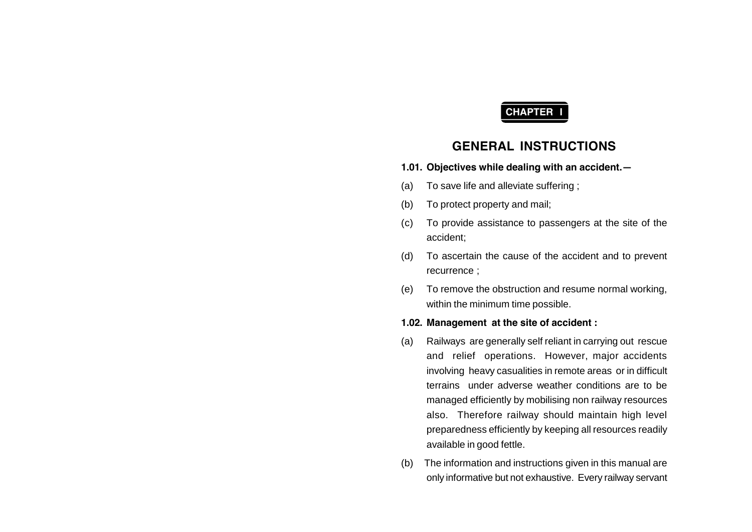# **CHAPTER I**

# **GENERAL INSTRUCTIONS**

- **1.01. Objectives while dealing with an accident.—**
- (a) To save life and alleviate suffering ;
- (b) To protect property and mail;
- (c) To provide assistance to passengers at the site of the accident;
- (d) To ascertain the cause of the accident and to prevent recurrence ;
- (e) To remove the obstruction and resume normal working, within the minimum time possible.

#### **1.02. Management at the site of accident :**

- (a) Railways are generally self reliant in carrying out rescue and relief operations. However, major accidents involving heavy casualities in remote areas or in difficult terrains under adverse weather conditions are to be managed efficiently by mobilising non railway resources also. Therefore railway should maintain high level preparedness efficiently by keeping all resources readily available in good fettle.
- (b) The information and instructions given in this manual are only informative but not exhaustive. Every railway servant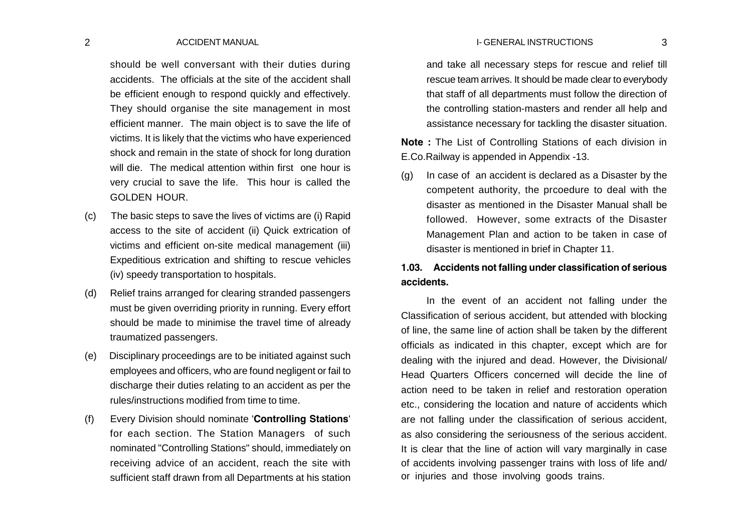#### 2 ACCIDENT MANUAL 3 I- GENERAL INSTRUCTIONS

should be well conversant with their duties during accidents. The officials at the site of the accident shall be efficient enough to respond quickly and effectively. They should organise the site management in most efficient manner. The main object is to save the life of victims. It is likely that the victims who have experienced shock and remain in the state of shock for long duration will die. The medical attention within first one hour is very crucial to save the life. This hour is called the GOLDEN HOUR.

- (c) The basic steps to save the lives of victims are (i) Rapid access to the site of accident (ii) Quick extrication of victims and efficient on-site medical management (iii) Expeditious extrication and shifting to rescue vehicles (iv) speedy transportation to hospitals.
- (d) Relief trains arranged for clearing stranded passengers must be given overriding priority in running. Every effort should be made to minimise the travel time of already traumatized passengers.
- (e) Disciplinary proceedings are to be initiated against such employees and officers, who are found negligent or fail to discharge their duties relating to an accident as per the rules/instructions modified from time to time.
- (f) Every Division should nominate '**Controlling Stations**' for each section. The Station Managers of such nominated "Controlling Stations" should, immediately on receiving advice of an accident, reach the site with sufficient staff drawn from all Departments at his station

and take all necessary steps for rescue and relief till rescue team arrives. It should be made clear to everybody that staff of all departments must follow the direction of the controlling station-masters and render all help and assistance necessary for tackling the disaster situation.

**Note :** The List of Controlling Stations of each division in E.Co.Railway is appended in Appendix -13.

(g) In case of an accident is declared as a Disaster by the competent authority, the prcoedure to deal with the disaster as mentioned in the Disaster Manual shall be followed. However, some extracts of the Disaster Management Plan and action to be taken in case of disaster is mentioned in brief in Chapter 11.

## **1.03. Accidents not falling under classification of serious accidents.**

In the event of an accident not falling under the Classification of serious accident, but attended with blocking of line, the same line of action shall be taken by the different officials as indicated in this chapter, except which are for dealing with the injured and dead. However, the Divisional/ Head Quarters Officers concerned will decide the line of action need to be taken in relief and restoration operation etc., considering the location and nature of accidents which are not falling under the classification of serious accident, as also considering the seriousness of the serious accident. It is clear that the line of action will vary marginally in case of accidents involving passenger trains with loss of life and/ or injuries and those involving goods trains.